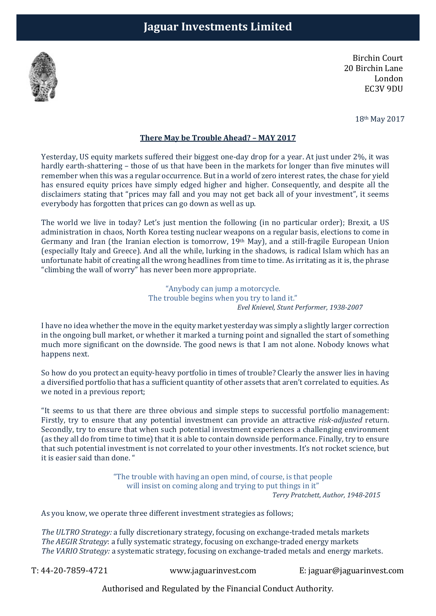

Birchin Court 20 Birchin Lane London EC3V 9DU

18th May 2017

## There May be Trouble Ahead? – MAY 2017

Yesterday, US equity markets suffered their biggest one-day drop for a year. At just under 2%, it was hardly earth-shattering – those of us that have been in the markets for longer than five minutes will remember when this was a regular occurrence. But in a world of zero interest rates, the chase for yield has ensured equity prices have simply edged higher and higher. Consequently, and despite all the disclaimers stating that "prices may fall and you may not get back all of your investment", it seems everybody has forgotten that prices can go down as well as up.

The world we live in today? Let's just mention the following (in no particular order); Brexit, a US administration in chaos, North Korea testing nuclear weapons on a regular basis, elections to come in Germany and Iran (the Iranian election is tomorrow, 19th May), and a still-fragile European Union (especially Italy and Greece). And all the while, lurking in the shadows, is radical Islam which has an unfortunate habit of creating all the wrong headlines from time to time. As irritating as it is, the phrase "climbing the wall of worry" has never been more appropriate.

> "Anybody can jump a motorcycle. The trouble begins when you try to land it." Evel Knievel, Stunt Performer, 1938-2007

I have no idea whether the move in the equity market yesterday was simply a slightly larger correction in the ongoing bull market, or whether it marked a turning point and signalled the start of something much more significant on the downside. The good news is that I am not alone. Nobody knows what happens next.

So how do you protect an equity-heavy portfolio in times of trouble? Clearly the answer lies in having a diversified portfolio that has a sufficient quantity of other assets that aren't correlated to equities. As we noted in a previous report;

"It seems to us that there are three obvious and simple steps to successful portfolio management: Firstly, try to ensure that any potential investment can provide an attractive risk-adjusted return. Secondly, try to ensure that when such potential investment experiences a challenging environment (as they all do from time to time) that it is able to contain downside performance. Finally, try to ensure that such potential investment is not correlated to your other investments. It's not rocket science, but it is easier said than done. "

> "The trouble with having an open mind, of course, is that people will insist on coming along and trying to put things in it" Terry Pratchett, Author, 1948-2015

As you know, we operate three different investment strategies as follows;

The ULTRO Strategy: a fully discretionary strategy, focusing on exchange-traded metals markets The AEGIR Strategy: a fully systematic strategy, focusing on exchange-traded energy markets The VARIO Strategy: a systematic strategy, focusing on exchange-traded metals and energy markets.

T: 44-20-7859-4721 www.jaguarinvest.com E: jaguar@jaguarinvest.com

Authorised and Regulated by the Financial Conduct Authority.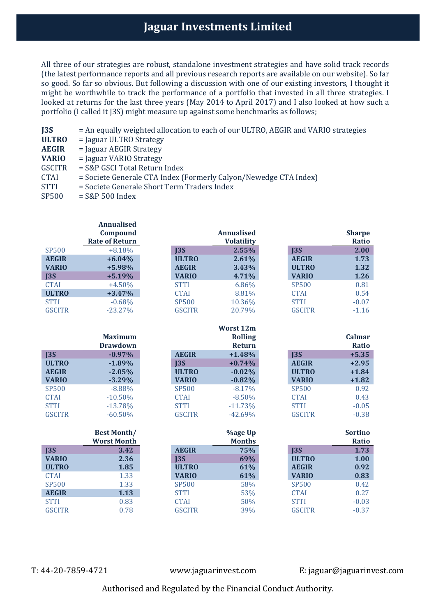## Jaguar Investments Limited

All three of our strategies are robust, standalone investment strategies and have solid track records (the latest performance reports and all previous research reports are available on our website). So far so good. So far so obvious. But following a discussion with one of our existing investors, I thought it might be worthwhile to track the performance of a portfolio that invested in all three strategies. I looked at returns for the last three years (May 2014 to April 2017) and I also looked at how such a portfolio (I called it J3S) might measure up against some benchmarks as follows;

| J <sub>35</sub> | = An equally weighted allocation to each of our ULTRO, AEGIR and VARIO strategies |
|-----------------|-----------------------------------------------------------------------------------|
| <b>ULTRO</b>    | $=$ Jaguar ULTRO Strategy                                                         |
| <b>AEGIR</b>    | $=$ Jaguar AEGIR Strategy                                                         |
| <b>VARIO</b>    | $=$ Jaguar VARIO Strategy                                                         |
| <b>GSCITR</b>   | = S&P GSCI Total Return Index                                                     |
| <b>CTAI</b>     | = Societe Generale CTA Index (Formerly Calyon/Newedge CTA Index)                  |
| <b>STTI</b>     | = Societe Generale Short Term Traders Index                                       |
| <b>SP500</b>    | $=$ S&P 500 Index                                                                 |
|                 |                                                                                   |
|                 |                                                                                   |

Annualised

|               | Compound              |               | <b>Annualised</b> |               | <b>Sharpe</b>  |
|---------------|-----------------------|---------------|-------------------|---------------|----------------|
|               | <b>Rate of Return</b> |               | <b>Volatility</b> |               | <b>Ratio</b>   |
| <b>SP500</b>  | $+8.18%$              | $135$         | 2.55%             | $135$         | 2.00           |
| <b>AEGIR</b>  | $+6.04%$              | <b>ULTRO</b>  | 2.61%             | <b>AEGIR</b>  | 1.73           |
| <b>VARIO</b>  | +5.98%                | <b>AEGIR</b>  | 3.43%             | <b>ULTRO</b>  | 1.32           |
| $135$         | $+5.19%$              | <b>VARIO</b>  | 4.71%             | <b>VARIO</b>  | 1.26           |
| <b>CTAI</b>   | $+4.50%$              | <b>STTI</b>   | 6.86%             | <b>SP500</b>  | 0.81           |
| <b>ULTRO</b>  | $+3.47%$              | <b>CTAI</b>   | 8.81%             | <b>CTAI</b>   | 0.54           |
| <b>STTI</b>   | $-0.68%$              | <b>SP500</b>  | 10.36%            | <b>STTI</b>   | $-0.07$        |
| <b>GSCITR</b> | $-23.27%$             | <b>GSCITR</b> | 20.79%            | <b>GSCITR</b> | $-1.16$        |
|               |                       |               |                   |               |                |
|               |                       |               | <b>Worst 12m</b>  |               |                |
|               | <b>Maximum</b>        |               | <b>Rolling</b>    |               | Calmar         |
|               | <b>Drawdown</b>       |               | <b>Return</b>     |               | <b>Ratio</b>   |
| J3S           | $-0.97%$              | <b>AEGIR</b>  | $+1.48%$          | J3S           | $+5.35$        |
| <b>ULTRO</b>  | $-1.89%$              | J3S           | $+0.74%$          | <b>AEGIR</b>  | $+2.95$        |
| <b>AEGIR</b>  | $-2.05%$              | <b>ULTRO</b>  | $-0.02%$          | <b>ULTRO</b>  | $+1.84$        |
| <b>VARIO</b>  | $-3.29%$              | <b>VARIO</b>  | $-0.82%$          | <b>VARIO</b>  | $+1.82$        |
| <b>SP500</b>  | $-8.88%$              | <b>SP500</b>  | $-8.17%$          | <b>SP500</b>  | 0.92           |
| <b>CTAI</b>   | $-10.50%$             | <b>CTAI</b>   | $-8.50%$          | <b>CTAI</b>   | 0.43           |
| <b>STTI</b>   | $-13.78%$             | <b>STTI</b>   | $-11.73%$         | <b>STTI</b>   | $-0.05$        |
| <b>GSCITR</b> | $-60.50%$             | <b>GSCITR</b> | $-42.69%$         | <b>GSCITR</b> | $-0.38$        |
|               |                       |               |                   |               |                |
|               | <b>Best Month/</b>    |               | <b>%age Up</b>    |               | <b>Sortino</b> |
|               | <b>Worst Month</b>    |               | <b>Months</b>     |               | <b>Ratio</b>   |
| J3S           | 3.42                  | <b>AEGIR</b>  | 75%               | J3S           | 1.73           |
| <b>VARIO</b>  | 2.36                  | $135$         | 69%               | <b>ULTRO</b>  | 1.00           |
| <b>ULTRO</b>  | 1.85                  | <b>ULTRO</b>  | 61%               | <b>AEGIR</b>  | 0.92           |
| <b>CTAI</b>   | 1.33                  | <b>VARIO</b>  | 61%               | <b>VARIO</b>  | 0.83           |
| <b>SP500</b>  | 1.33                  | <b>SP500</b>  | 58%               | <b>SP500</b>  | 0.42           |
| <b>AEGIR</b>  | 1.13                  | <b>STTI</b>   | 53%               | <b>CTAI</b>   | 0.27           |
| <b>STTI</b>   | 0.83                  | <b>CTAI</b>   | 50%               | <b>STTI</b>   | $-0.03$        |
| <b>GSCITR</b> | 0.78                  | <b>GSCITR</b> | 39%               | <b>GSCITR</b> | $-0.37$        |
|               |                       |               |                   |               |                |

T: 44-20-7859-4721 www.jaguarinvest.com E: jaguar@jaguarinvest.com

Authorised and Regulated by the Financial Conduct Authority.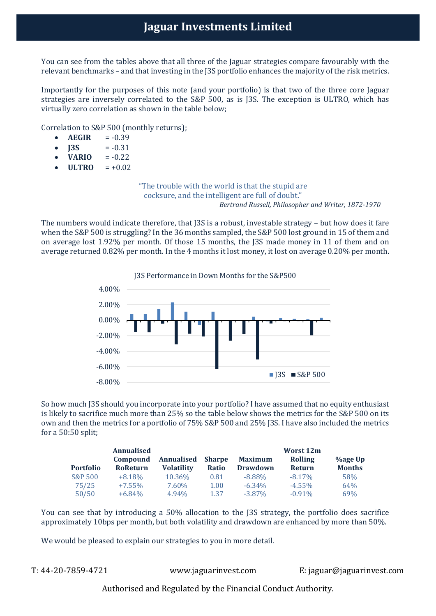You can see from the tables above that all three of the Jaguar strategies compare favourably with the relevant benchmarks – and that investing in the J3S portfolio enhances the majority of the risk metrics.

Importantly for the purposes of this note (and your portfolio) is that two of the three core Jaguar strategies are inversely correlated to the S&P 500, as is J3S. The exception is ULTRO, which has virtually zero correlation as shown in the table below;

Correlation to S&P 500 (monthly returns);

- $\bullet$  AEGIR =  $-0.39$
- $$
- $VARIO = -0.22$
- $\bullet$  ULTRO = +0.02

"The trouble with the world is that the stupid are cocksure, and the intelligent are full of doubt." Bertrand Russell, Philosopher and Writer, 1872-1970

The numbers would indicate therefore, that J3S is a robust, investable strategy – but how does it fare when the S&P 500 is struggling? In the 36 months sampled, the S&P 500 lost ground in 15 of them and on average lost 1.92% per month. Of those 15 months, the J3S made money in 11 of them and on average returned 0.82% per month. In the 4 months it lost money, it lost on average 0.20% per month.



So how much J3S should you incorporate into your portfolio? I have assumed that no equity enthusiast is likely to sacrifice much more than 25% so the table below shows the metrics for the S&P 500 on its own and then the metrics for a portfolio of 75% S&P 500 and 25% J3S. I have also included the metrics for a 50:50 split;

|                  | <b>Annualised</b> |                   |               |                 | Worst 12m      |                 |
|------------------|-------------------|-------------------|---------------|-----------------|----------------|-----------------|
|                  | Compound          | Annualised        | <b>Sharpe</b> | <b>Maximum</b>  | <b>Rolling</b> | <b>%age Up</b>  |
| <b>Portfolio</b> | <b>RoReturn</b>   | <b>Volatility</b> | Ratio         | <b>Drawdown</b> | <b>Return</b>  | <b>Months</b>   |
| S&P 500          | $+8.18%$          | 10.36%            | 0.81          | $-8.88\%$       | $-8.17\%$      | 58%             |
| 75/25            | $+7.55\%$         | 7.60%             | 1.00          | $-6.34\%$       | $-4.55\%$      | 64%             |
| 50/50            | $+6.84\%$         | 4.94%             | 1.37          | $-3.87\%$       | $-0.91\%$      | 69 <sub>%</sub> |

You can see that by introducing a 50% allocation to the J3S strategy, the portfolio does sacrifice approximately 10bps per month, but both volatility and drawdown are enhanced by more than 50%.

We would be pleased to explain our strategies to you in more detail.

T: 44-20-7859-4721 www.jaguarinvest.com E: jaguar@jaguarinvest.com

Authorised and Regulated by the Financial Conduct Authority.